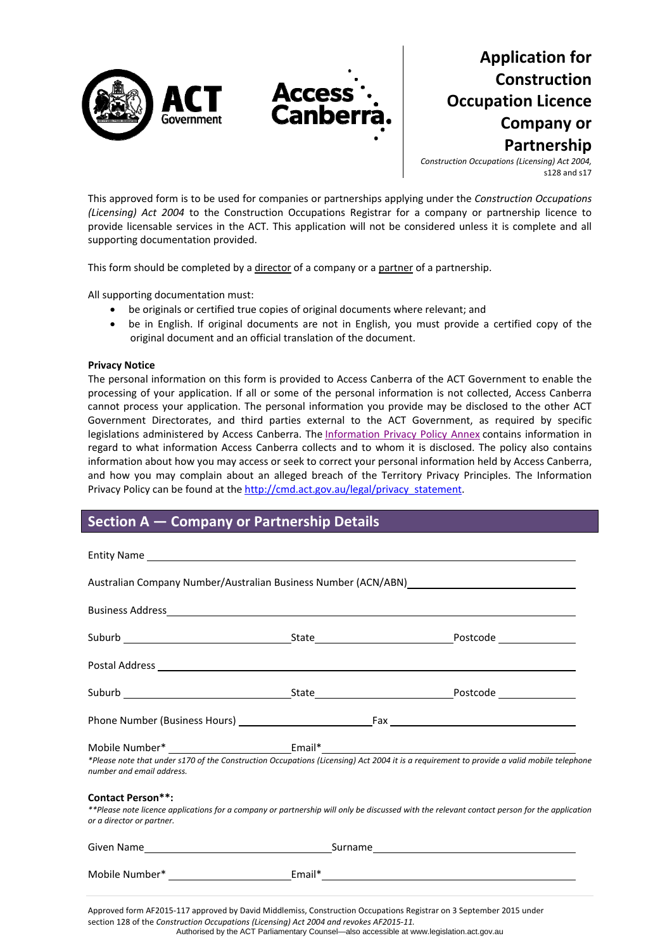

# **Application for Construction Occupation Licence Company or Partnership**

*Construction Occupations (Licensing) Act 2004,* s128 and s17

This approved form is to be used for companies or partnerships applying under the *Construction Occupations (Licensing) Act 2004* to the Construction Occupations Registrar for a company or partnership licence to provide licensable services in the ACT. This application will not be considered unless it is complete and all supporting documentation provided.

This form should be completed by a director of a company or a partner of a partnership.

All supporting documentation must:

- be originals or certified true copies of original documents where relevant; and
- be in English. If original documents are not in English, you must provide a certified copy of the original document and an official translation of the document.

#### **Privacy Notice**

The personal information on this form is provided to Access Canberra of the ACT Government to enable the processing of your application. If all or some of the personal information is not collected, Access Canberra cannot process your application. The personal information you provide may be disclosed to the other ACT Government Directorates, and third parties external to the ACT Government, as required by specific legislations administered by Access Canberra. The [Information](http://www.environment.act.gov.au/__data/assets/pdf_file/0006/633741/Information-Privacy-Policy-Annex.pdf) Privacy Policy Annex contains information in regard to what information Access Canberra collects and to whom it is disclosed. The policy also contains information about how you may access or seek to correct your personal information held by Access Canberra, and how you may complain about an alleged breach of the Territory Privacy Principles. The Information Privacy Policy can be found at the [http://cmd.act.gov.au/legal/privacy\\_statement](http://cmd.act.gov.au/legal/privacy_statement).

### **Section A — Company or Partnership Details**

| number and email address.                             | *Please note that under s170 of the Construction Occupations (Licensing) Act 2004 it is a requirement to provide a valid mobile telephone   |
|-------------------------------------------------------|---------------------------------------------------------------------------------------------------------------------------------------------|
| <b>Contact Person**:</b><br>or a director or partner. | **Please note licence applications for a company or partnership will only be discussed with the relevant contact person for the application |
|                                                       |                                                                                                                                             |
|                                                       |                                                                                                                                             |
|                                                       |                                                                                                                                             |

Approved form AF2015‐117 approved by David Middlemiss, Construction Occupations Registrar on 3 September 2015 under section 128 of the *Construction Occupations (Licensing) Act 2004 and revokes AF2015‐11.* Authorised by the ACT Parliamentary Counsel—also accessible at www.legislation.act.gov.au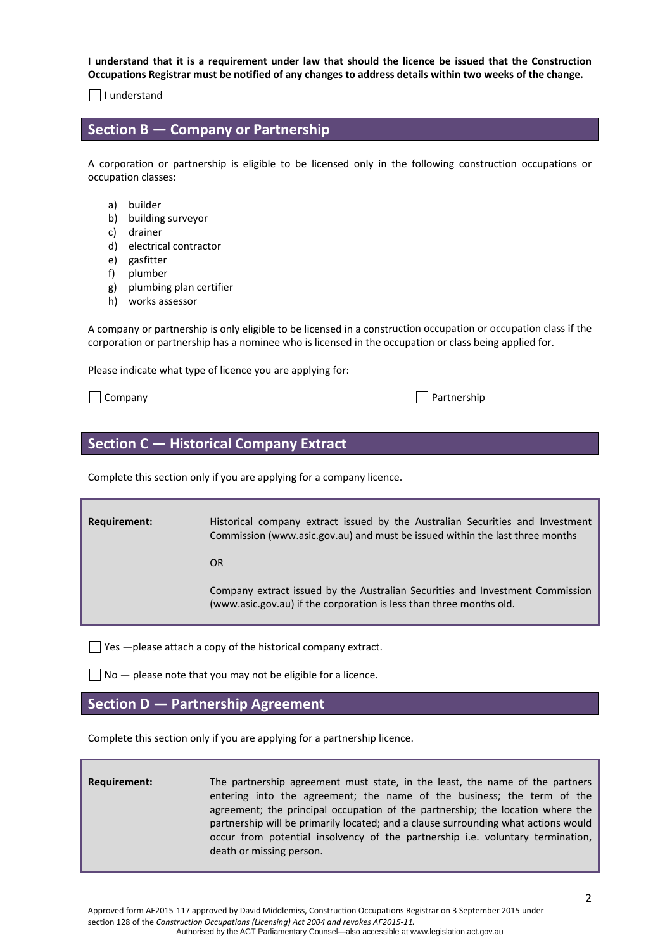I understand that it is a requirement under law that should the licence be issued that the Construction Occupations Registrar must be notified of any changes to address details within two weeks of the change.

 $\Box$  I understand

### **Section B — Company or Partnership**

A corporation or partnership is eligible to be licensed only in the following construction occupations or occupation classes:

- a) builder
- b) building surveyor
- c) drainer
- d) electrical contractor
- e) gasfitter
- f) plumber
- g) plumbing plan certifier
- h) works assessor

A company or partnership is only eligible to be licensed in a construction occupation or occupation class if the corporation or partnership has a nominee who is licensed in the occupation or class being applied for.

Please indicate what type of licence you are applying for:

 $\Box$  Company  $\Box$  Company

### **Section C — Historical Company Extract**

Complete this section only if you are applying for a company licence.

**Requirement: Historical company extract issued by the Australian Securities and Investment** Commission ([www.asic.gov.au\)](http://www.asic.gov.au/) and must be issued within the last three months **OR OR**  Company extract issued by the Australian Securities and Investment Commission [\(www.asic.gov.au\)](http://www.asic.gov.au/) if the corporation is less than three months old.

 $\Box$  Yes  $-$ please attach a copy of the historical company extract.

 $\Box$  No  $-$  please note that you may not be eligible for a licence.

### **Section D — Partnership Agreement**

Complete this section only if you are applying for a partnership licence.

**Requirement:** The partnership agreement must state, in the least, the name of the partners entering into the agreement; the name of the business; the term of the agreement; the principal occupation of the partnership; the location where the partnership will be primarily located; and a clause surrounding what actions would occur from potential insolvency of the partnership i.e. voluntary termination, death or missing person.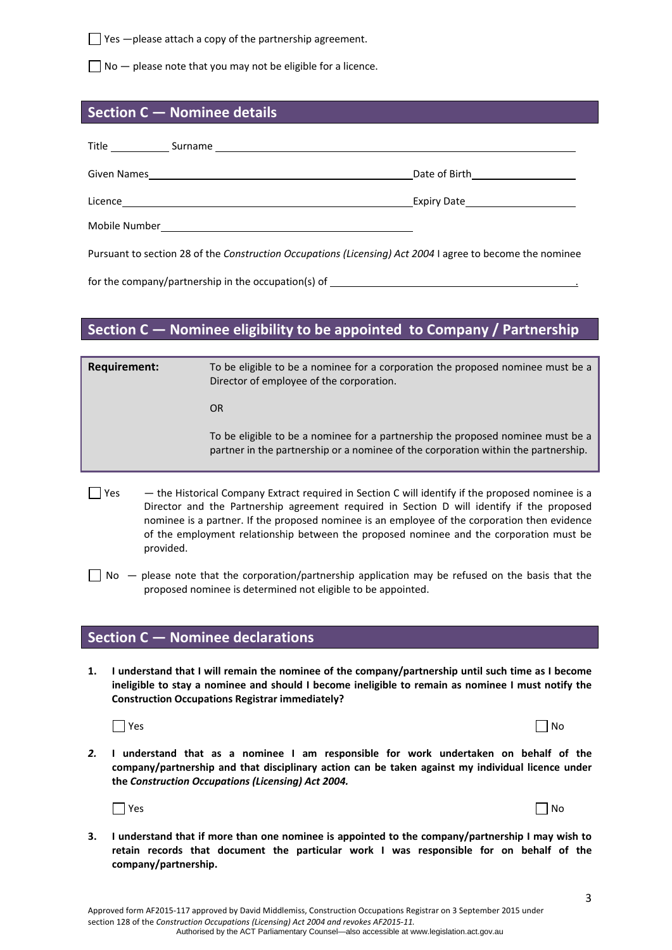$\Box$  Yes  $-\rho$  lease attach a copy of the partnership agreement.

 $\Box$  No  $-$  please note that you may not be eligible for a licence.

# **Section C — Nominee details**

| Given Names and the contract of the contract of the contract of the contract of the contract of the contract of | Date of Birth_______________________                                                                      |
|-----------------------------------------------------------------------------------------------------------------|-----------------------------------------------------------------------------------------------------------|
|                                                                                                                 |                                                                                                           |
|                                                                                                                 |                                                                                                           |
|                                                                                                                 | Pursuant to section 28 of the Construction Occupations (Licensing) Act 2004 I agree to become the nominee |

for the company/partnership in the occupation(s) of

# **Section C — Nominee eligibility to be appointed to Company / Partnership**

| <b>Requirement:</b> | To be eligible to be a nominee for a corporation the proposed nominee must be a<br>Director of employee of the corporation.                                                                     |
|---------------------|-------------------------------------------------------------------------------------------------------------------------------------------------------------------------------------------------|
|                     | <b>OR</b>                                                                                                                                                                                       |
|                     | To be eligible to be a nominee for a partnership the proposed nominee must be a<br>partner in the partnership or a nominee of the corporation within the partnership.                           |
| Yes                 | - the Historical Company Extract required in Section C will identify if the proposed nominee is a<br>Director and the Partnership agreement required in Section D will identify if the proposed |

- Director and the Partnership agreement required in Section D will identify if the proposed nominee is a partner. If the proposed nominee is an employee of the corporation then evidence of the employment relationship between the proposed nominee and the corporation must be provided.
- $\Box$  No  $-$  please note that the corporation/partnership application may be refused on the basis that the proposed nominee is determined not eligible to be appointed.

### **Section C — Nominee declarations**

1. I understand that I will remain the nominee of the company/partnership until such time as I become **ineligible to stay a nominee and should I become ineligible to remain as nominee I must notify the Construction Occupations Registrar immediately?** 



| Yes | $\Box$ No |
|-----|-----------|
|-----|-----------|

*2.* **I understand that as a nominee I am responsible for work undertaken on behalf of the company/partnership and that disciplinary action can be taken against my individual licence under the** *Construction Occupations (Licensing) Act 2004.*



3. I understand that if more than one nominee is appointed to the company/partnership I may wish to **retain records that document the particular work I was responsible for on behalf of the company/partnership.**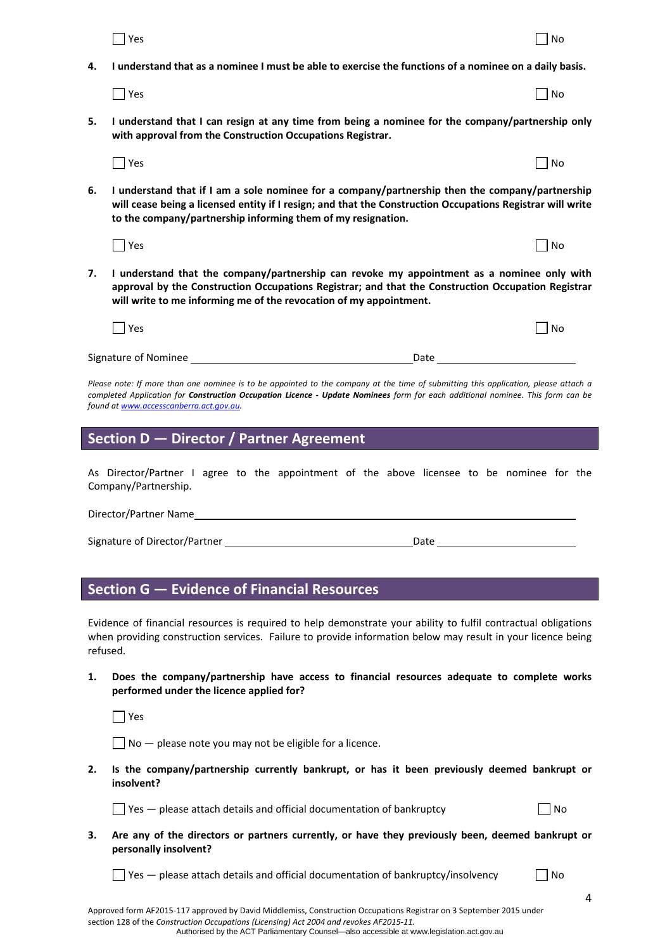|          | Yes                                                                                                                                                                                                                                                                                                                     | No        |
|----------|-------------------------------------------------------------------------------------------------------------------------------------------------------------------------------------------------------------------------------------------------------------------------------------------------------------------------|-----------|
| 4.       | I understand that as a nominee I must be able to exercise the functions of a nominee on a daily basis.                                                                                                                                                                                                                  |           |
|          | Yes                                                                                                                                                                                                                                                                                                                     | <b>No</b> |
| 5.       | I understand that I can resign at any time from being a nominee for the company/partnership only<br>with approval from the Construction Occupations Registrar.                                                                                                                                                          |           |
|          | Yes                                                                                                                                                                                                                                                                                                                     | l No      |
| 6.       | I understand that if I am a sole nominee for a company/partnership then the company/partnership<br>will cease being a licensed entity if I resign; and that the Construction Occupations Registrar will write<br>to the company/partnership informing them of my resignation.                                           |           |
|          | Yes                                                                                                                                                                                                                                                                                                                     | <b>No</b> |
| 7.       | I understand that the company/partnership can revoke my appointment as a nominee only with<br>approval by the Construction Occupations Registrar; and that the Construction Occupation Registrar<br>will write to me informing me of the revocation of my appointment.                                                  |           |
|          | $\Box$ Yes                                                                                                                                                                                                                                                                                                              | <b>No</b> |
|          | Signature of Nominee ________<br><b>Date</b>                                                                                                                                                                                                                                                                            |           |
|          | Please note: If more than one nominee is to be appointed to the company at the time of submitting this application, please attach a<br>completed Application for <b>Construction Occupation Licence - Update Nominees</b> form for each additional nominee. This form can be<br>found at www.accesscanberra.act.gov.au. |           |
|          | Section D - Director / Partner Agreement                                                                                                                                                                                                                                                                                |           |
|          | As Director/Partner I agree to the appointment of the above licensee to be nominee for the<br>Company/Partnership.                                                                                                                                                                                                      |           |
|          | Director/Partner Name                                                                                                                                                                                                                                                                                                   |           |
|          | Signature of Director/Partner and the control of the control of Director Partner and Table and Table 2014 and Table 2014 and Table 2014 and Table 2014 and Table 2014 and Table 2014 and Table 2014 and Table 2014 and Table 2                                                                                          |           |
|          |                                                                                                                                                                                                                                                                                                                         |           |
|          | <b>Section G - Evidence of Financial Resources</b>                                                                                                                                                                                                                                                                      |           |
| refused. | Evidence of financial resources is required to help demonstrate your ability to fulfil contractual obligations<br>when providing construction services. Failure to provide information below may result in your licence being                                                                                           |           |

**1. Does the company/partnership have access to financial resources adequate to complete works performed under the licence applied for?** 

 $\Box$  Yes

 $\Box$  No  $-$  please note you may not be eligible for a licence.

**2. Is the company/partnership currently bankrupt, or has it been previously deemed bankrupt or insolvent?**

 $\Box$  Yes  $-$  please attach details and official documentation of bankruptcy  $\Box$  No

- 
- **3. Are any of the directors or partners currently, or have they previously been, deemed bankrupt or personally insolvent?**

 $\Box$  Yes — please attach details and official documentation of bankruptcy/insolvency  $\Box$  No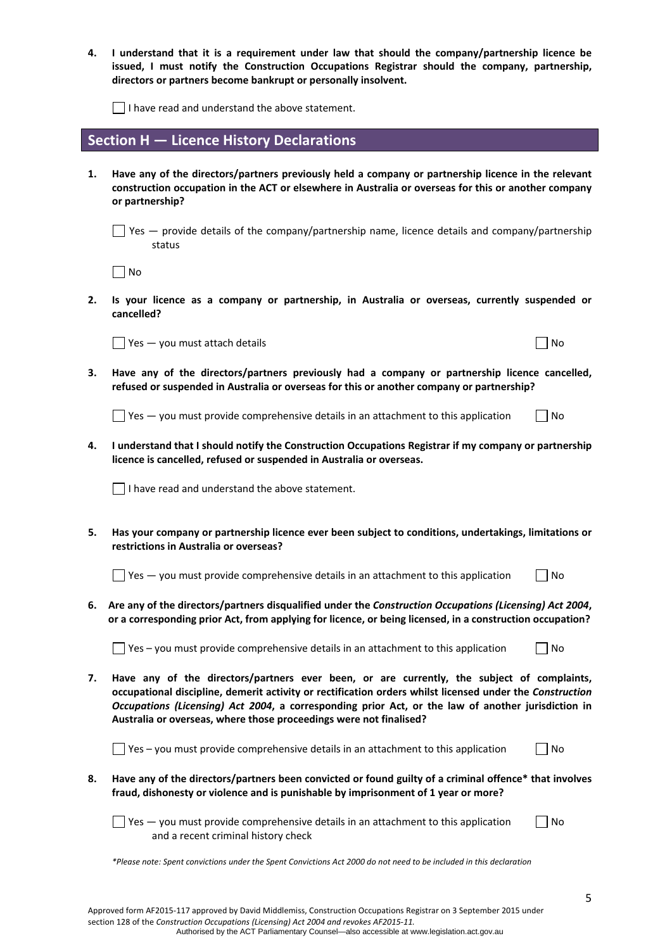| 4. | I understand that it is a requirement under law that should the company/partnership licence be<br>issued, I must notify the Construction Occupations Registrar should the company, partnership,<br>directors or partners become bankrupt or personally insolvent.                                                                                                                  |           |
|----|------------------------------------------------------------------------------------------------------------------------------------------------------------------------------------------------------------------------------------------------------------------------------------------------------------------------------------------------------------------------------------|-----------|
|    | $\Box$ I have read and understand the above statement.                                                                                                                                                                                                                                                                                                                             |           |
|    | Section H - Licence History Declarations                                                                                                                                                                                                                                                                                                                                           |           |
| 1. | Have any of the directors/partners previously held a company or partnership licence in the relevant<br>construction occupation in the ACT or elsewhere in Australia or overseas for this or another company<br>or partnership?                                                                                                                                                     |           |
|    | $\Box$ Yes $-$ provide details of the company/partnership name, licence details and company/partnership<br>status                                                                                                                                                                                                                                                                  |           |
|    | $\Box$ No                                                                                                                                                                                                                                                                                                                                                                          |           |
| 2. | Is your licence as a company or partnership, in Australia or overseas, currently suspended or<br>cancelled?                                                                                                                                                                                                                                                                        |           |
|    | $\sqrt{}$ Yes $-$ you must attach details                                                                                                                                                                                                                                                                                                                                          | No        |
| 3. | Have any of the directors/partners previously had a company or partnership licence cancelled,<br>refused or suspended in Australia or overseas for this or another company or partnership?                                                                                                                                                                                         |           |
|    | $\frac{1}{2}$ Yes $-$ you must provide comprehensive details in an attachment to this application                                                                                                                                                                                                                                                                                  | No        |
| 4. | I understand that I should notify the Construction Occupations Registrar if my company or partnership<br>licence is cancelled, refused or suspended in Australia or overseas.                                                                                                                                                                                                      |           |
|    | I have read and understand the above statement.                                                                                                                                                                                                                                                                                                                                    |           |
| 5. | Has your company or partnership licence ever been subject to conditions, undertakings, limitations or<br>restrictions in Australia or overseas?                                                                                                                                                                                                                                    |           |
|    | Yes - you must provide comprehensive details in an attachment to this application                                                                                                                                                                                                                                                                                                  | No        |
|    | 6. Are any of the directors/partners disqualified under the Construction Occupations (Licensing) Act 2004,<br>or a corresponding prior Act, from applying for licence, or being licensed, in a construction occupation?                                                                                                                                                            |           |
|    | Yes - you must provide comprehensive details in an attachment to this application                                                                                                                                                                                                                                                                                                  | <b>No</b> |
| 7. | Have any of the directors/partners ever been, or are currently, the subject of complaints,<br>occupational discipline, demerit activity or rectification orders whilst licensed under the Construction<br>Occupations (Licensing) Act 2004, a corresponding prior Act, or the law of another jurisdiction in<br>Australia or overseas, where those proceedings were not finalised? |           |
|    | $\Box$ Yes – you must provide comprehensive details in an attachment to this application                                                                                                                                                                                                                                                                                           | No        |
| 8. | Have any of the directors/partners been convicted or found guilty of a criminal offence* that involves<br>fraud, dishonesty or violence and is punishable by imprisonment of 1 year or more?                                                                                                                                                                                       |           |
|    | $\Box$ Yes $-$ you must provide comprehensive details in an attachment to this application<br>and a recent criminal history check                                                                                                                                                                                                                                                  | No        |
|    | *Please note: Spent convictions under the Spent Convictions Act 2000 do not need to be included in this declaration                                                                                                                                                                                                                                                                |           |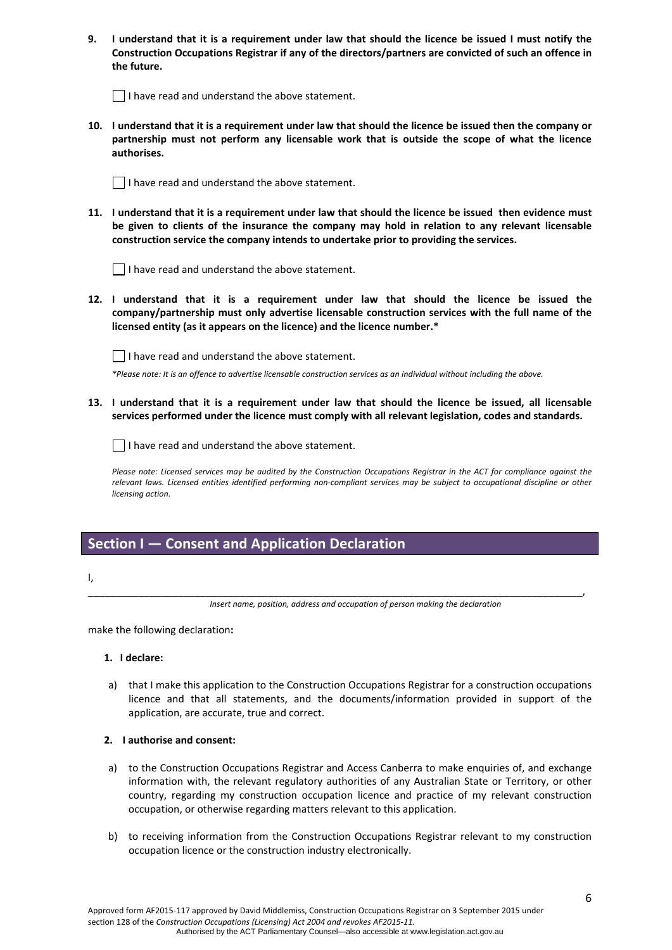| 9. I understand that it is a requirement under law that should the licence be issued I must notify the  |
|---------------------------------------------------------------------------------------------------------|
| Construction Occupations Registrar if any of the directors/partners are convicted of such an offence in |
| the future.                                                                                             |

 $\Box$  I have read and understand the above statement.

10. I understand that it is a requirement under law that should the licence be issued then the company or **partnership must not perform any licensable work that is outside the scope of what the licence authorises.**

 $\Box$  I have read and understand the above statement.

11. I understand that it is a requirement under law that should the licence be issued then evidence must **be given to clients of the insurance the company may hold in relation to any relevant licensable construction service the company intends to undertake prior to providing the services.** 

| $\Box$ I have read and understand the above statement. |
|--------------------------------------------------------|
|--------------------------------------------------------|

**12. I understand that it is a requirement under law that should the licence be issued the company/partnership must only advertise licensable construction services with the full name of the licensed entity (as it appears on the licence) and the licence number.\*** 

 $\Box$  I have read and understand the above statement.

\*Please note: It is an offence to advertise licensable construction services as an individual without including the above.

13. I understand that it is a requirement under law that should the licence be issued, all licensable **services performed under the licence must comply with all relevant legislation, codes and standards.** 

 $\vert \ \vert$  I have read and understand the above statement.

Please note: Licensed services may be audited by the Construction Occupations Registrar in the ACT for compliance against the relevant laws. Licensed entities identified performing non-compliant services may be subject to occupational discipline or other *licensing action.*

## **Section I — Consent and Application Declaration**

I,

\_\_\_\_\_\_\_\_\_\_\_\_\_\_\_\_\_\_\_\_\_\_\_\_\_\_\_\_\_\_\_\_\_\_\_\_\_\_\_\_\_\_\_\_\_\_\_\_\_\_\_\_\_\_\_\_\_\_\_\_\_\_\_\_\_\_\_\_\_\_\_\_\_\_\_\_\_\_\_\_\_\_\_\_\_\_\_\_, *Insert name, position, address and occupation of person making the declaration*

make the following declaration**:**

#### **1. I declare:**

a) that I make this application to the Construction Occupations Registrar for a construction occupations licence and that all statements, and the documents/information provided in support of the application, are accurate, true and correct.

#### **2. I authorise and consent:**

- a) to the Construction Occupations Registrar and Access Canberra to make enquiries of, and exchange information with, the relevant regulatory authorities of any Australian State or Territory, or other country, regarding my construction occupation licence and practice of my relevant construction occupation, or otherwise regarding matters relevant to this application.
- b) to receiving information from the Construction Occupations Registrar relevant to my construction occupation licence or the construction industry electronically.